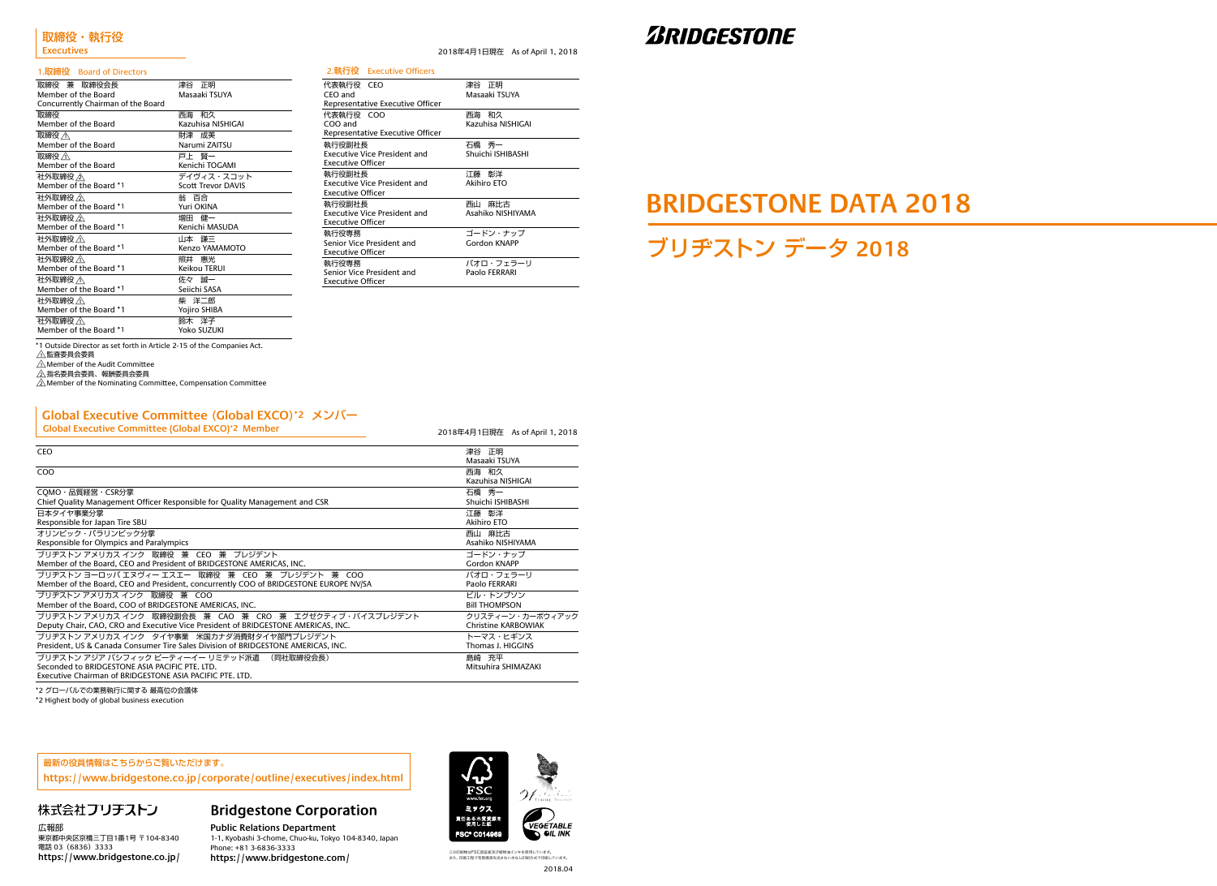2018年4月1日現在 As of April 1, 2018

2018年4月1日現在 As of April 1, 2018

\*2 グローバルでの業務執行に関する 最高位の会議体

\*2 Highest body of global business execution

ブリヂストン データ **2018**

# **BRIDGESTONE DATA 2018**

#### 1.取締役 Board of Directors

| 2.執行役 Executive Officers                                                  |                                |
|---------------------------------------------------------------------------|--------------------------------|
| 代表執行役 CEO<br>CEO and                                                      | 津谷 正明<br>Masaaki TSUYA         |
| Representative Executive Officer                                          |                                |
| 代表執行役 COO<br>COO and                                                      | 和久<br>西海<br>Kazuhisa NISHIGAI  |
| Representative Executive Officer                                          |                                |
| 執行役副社長<br>Executive Vice President and<br>Executive Officer               | 石橋 秀一<br>Shuichi ISHIBASHI     |
| 執行役副社長<br>Executive Vice President and<br><b>Executive Officer</b>        | 江藤 彰洋<br><b>Akihiro ETO</b>    |
| 執行役副社長<br><b>Executive Vice President and</b><br><b>Executive Officer</b> | 麻比古<br>西山<br>Asahiko NISHIYAMA |
| 執行役専務<br>Senior Vice President and<br><b>Executive Officer</b>            | ゴードン・ナップ<br>Gordon KNAPP       |
| 執行役専務<br>Senior Vice President and<br><b>Executive Officer</b>            | パオロ・フェラーリ<br>Paolo FERRARI     |

## **ZBRIDGESTONE**

2018.04 この印刷物はFSC認証紙及び植物油インキを使用しています。<br>また、印刷工程で有害廃液を出さない水なし印刷方式で印刷しています。



**Public Relations Department** 1-1, Kyobashi 3-chome, Chuo-ku, Tokyo 104-8340, Japan Phone: +81 3-6836-3333 https://www.bridgestone.com/



| 取締役 兼 取締役会長                        | 津谷 正明                     |
|------------------------------------|---------------------------|
| Member of the Board                | Masaaki TSUYA             |
| Concurrently Chairman of the Board |                           |
| 取締役                                | 西海 和久                     |
| Member of the Board                | Kazuhisa NISHIGAI         |
| 取締役 <                              | 財津成美                      |
| Member of the Board                | Narumi ZAITSU             |
| 取締役 <                              | 戸上 腎一                     |
| Member of the Board                | Kenichi TOGAMI            |
| 社外取締役 / $\wedge$                   | デイヴィス・スコット                |
| Member of the Board *1             | <b>Scott Trevor DAVIS</b> |
| 社外取締役 人                            | 翁 百合                      |
| Member of the Board *1             | Yuri OKINA                |
| 社外取締役 /公                           | 増田 健一                     |
| Member of the Board *1             | Kenichi MASUDA            |
| 社外取締役 <                            | 山本 謙三                     |
| Member of the Board *1             | Kenzo YAMAMOTO            |
| 社外取締役 <                            | 照井 惠光                     |
| Member of the Board *1             | Keikou TERUI              |
| 社外取締役 $\bigtriangleup$             | 佐々 誠一                     |
| Member of the Board *1             | Seiichi SASA              |
| 社外取締役 /イ\                          | 柴 洋二郎                     |
| Member of the Board *1             | Yojiro SHIBA              |
| 社外取締役 <                            | 鈴木 洋子                     |
| Member of the Board *1             | Yoko SUZUKI               |

| <b>CEO</b>                                                                           | 津谷 正明                      |
|--------------------------------------------------------------------------------------|----------------------------|
|                                                                                      | Masaaki TSUYA              |
| CO <sub>O</sub>                                                                      | 西海 和久                      |
|                                                                                      | Kazuhisa NISHIGAI          |
| COMO・品質経営・CSR分掌                                                                      | 石橋秀一                       |
| Chief Quality Management Officer Responsible for Quality Management and CSR          | Shuichi ISHIBASHI          |
| 日本タイヤ事業分掌                                                                            | 江藤 彰洋                      |
| Responsible for Japan Tire SBU                                                       | <b>Akihiro ETO</b>         |
| オリンピック・パラリンピック分掌                                                                     | 西山 麻比古                     |
| Responsible for Olympics and Paralympics                                             | Asahiko NISHIYAMA          |
| ブリヂストン アメリカス インク 取締役 兼 CEO 兼 プレジデント                                                  | ゴードン・ナップ                   |
| Member of the Board, CEO and President of BRIDGESTONE AMERICAS, INC.                 | Gordon KNAPP               |
| ブリヂストン ヨーロッパ エヌヴィー エスエー 取締役 兼 CEO 兼 プレジデント 兼 COO                                     | パオロ・フェラーリ                  |
| Member of the Board, CEO and President, concurrently COO of BRIDGESTONE EUROPE NV/SA | Paolo FERRARI              |
| ブリヂストン アメリカス インク 取締役 兼 COO                                                           | ビル・トンプソン                   |
| Member of the Board. COO of BRIDGESTONE AMERICAS. INC.                               | <b>BIII THOMPSON</b>       |
| ブリヂストン アメリカス インク 取締役副会長 兼 CAO 兼 CRO 兼 エグゼクティブ・バイスプレジデント                              | クリスティーン・カーボウィアック           |
| Deputy Chair, CAO, CRO and Executive Vice President of BRIDGESTONE AMERICAS, INC.    | <b>Christine KARBOWIAK</b> |
| ブリヂストン アメリカス インク タイヤ事業 米国カナダ消費財タイヤ部門プレジデント                                           | トーマス・ヒギンス                  |
| President, US & Canada Consumer Tire Sales Division of BRIDGESTONE AMERICAS, INC.    | Thomas J. HIGGINS          |
| ブリヂストン アジア パシフィック ピーティーイー リミテッド派遣<br>(同社取締役会長)                                       | 島崎 充平                      |
| Seconded to BRIDGESTONE ASIA PACIFIC PTE, LTD.                                       | Mitsuhira SHIMAZAKI        |
| Executive Chairman of BRIDGESTONE ASIA PACIFIC PTE, LTD.                             |                            |

#### **Global Executive Committee** (**Global EXCO**)**\*2** メンバー

**Global Executive Committee (Global EXCO)\*2 Member**

\*1 Outside Director as set forth in Article 2-15 of the Companies Act.

△監査委員会委員

 $\triangle$ Member of the Audit Committee

△指名委員会委員、報酬委員会委員<br>△

 $\sqrt{2}$  Member of the Nominating Committee, Compensation Committee

広報部 東京都中央区京橋三丁目1番1号 〒104-8340 電話 03 (6836) 3333 **https://www.bridgestone.co.jp/**

## **Bridgestone Corporation**

#### 最新の役員情報はこちらからご覧いただけます。

**https://www.bridgestone.co.jp/corporate/outline/executives/index.html**

### 株式会社ブリチストン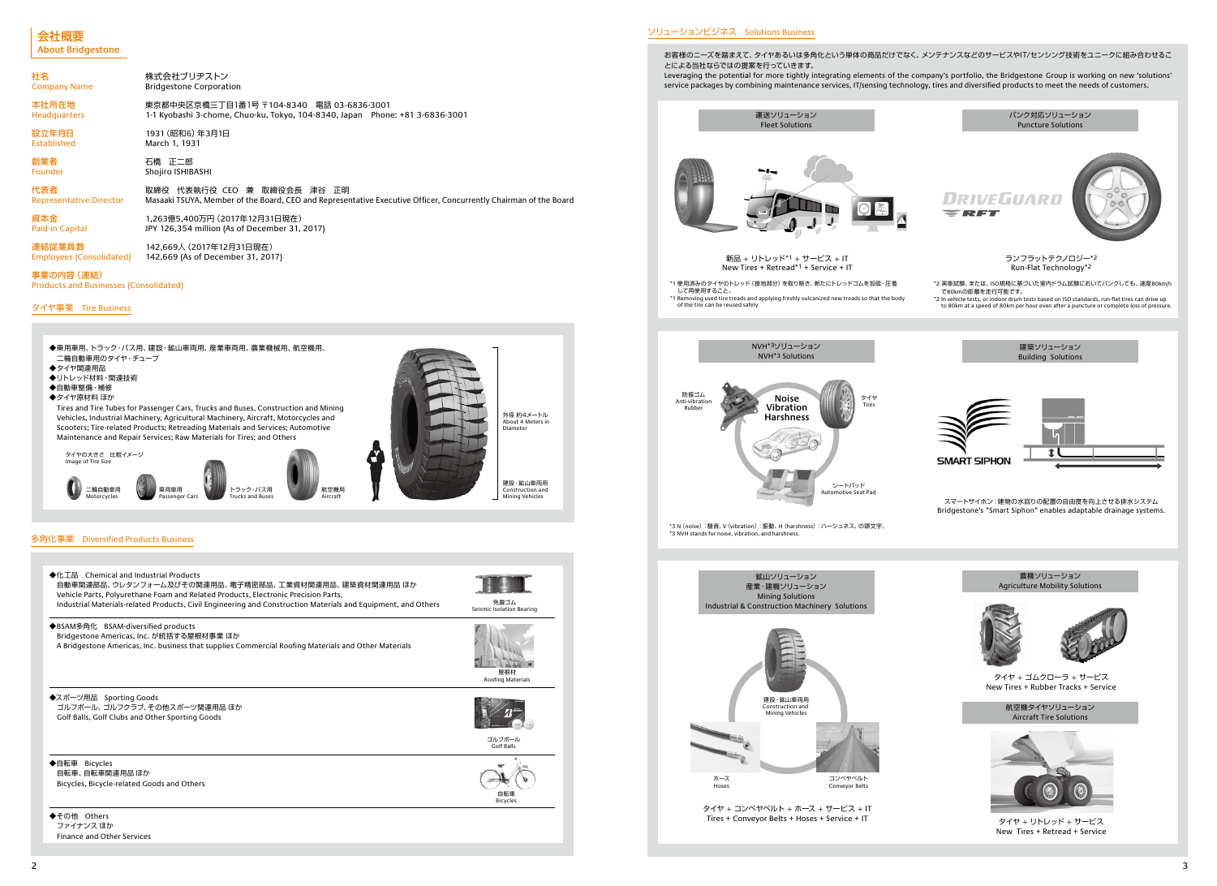#### 事業の内容(連結)

Products and Businesses (Consolidated)

| 社名                             | 株式会社ブリヂストン                                                                                                       |
|--------------------------------|------------------------------------------------------------------------------------------------------------------|
| <b>Company Name</b>            | <b>Bridgestone Corporation</b>                                                                                   |
| 本社所在地                          | 東京都中央区京橋三丁目1番1号 〒104-8340 電話 03-6836-3001                                                                        |
| <b>Headquarters</b>            | 1-1 Kyobashi 3-chome, Chuo-ku, Tokyo, 104-8340, Japan Phone: +81 3-6836-3001                                     |
| 設立年月日                          | 1931 (昭和6) 年3月1日                                                                                                 |
| Established                    | March 1, 1931                                                                                                    |
| 創業者                            | 石橋 正二郎                                                                                                           |
| <b>Founder</b>                 | Shojiro ISHIBASHI                                                                                                |
| 代表者                            | 取締役 代表執行役 CEO 兼 取締役会長 津谷 正明                                                                                      |
| <b>Representative Director</b> | Masaaki TSUYA, Member of the Board, CEO and Representative Executive Officer, Concurrently Chairman of the Board |
| 資本金                            | 1.263億5.400万円 (2017年12月31日現在)                                                                                    |
| Paid-in Capital                | JPY 126,354 million (As of December 31, 2017)                                                                    |
| 連結従業員数                         | 142.669人 (2017年12月31日現在)                                                                                         |
| Employees (Consolidated)       | 142,669 (As of December 31, 2017)                                                                                |

タイヤ事業 Tire Business





\*1 使用済みのタイヤのトレッド(接地部分)を取り除き、新たにトレッドゴムを加硫・圧着 して再使用すること。 \*1 Removing used tire treads and applying freshly vulcanized new treads so that the body of the tire can be reused safely





#### ソリューションビジネス Solutions Business

お客様のニーズを踏まえて、タイヤあるいは多角化という単体の商品だけでなく、メンテナンスなどのサービスやIT/センシング技術をユニークに組み合わせるこ とによる当社ならではの提案を行っていきます。

Leveraging the potential for more tightly integrating elements of the company's portfolio, the Bridgestone Group is working on new 'solutions' service packages by combining maintenance services, IT/sensing technology, tires and diversified products to meet the needs of customers.





#### 多角化事業 Diversified Products Business

New Tires + Retread\*1 + Service + IT

タイヤ + コンベヤベルト + ホース + サービス + IT Tires + Conveyor Belts + Hoses + Service + IT

\*3 N(noise):騒音、V(vibration):振動、H(harshness):ハーシュネス、の頭文字。 \*3 NVH stands for noise, vibration, and harshness.

### 会社概要 **About Bridgestone**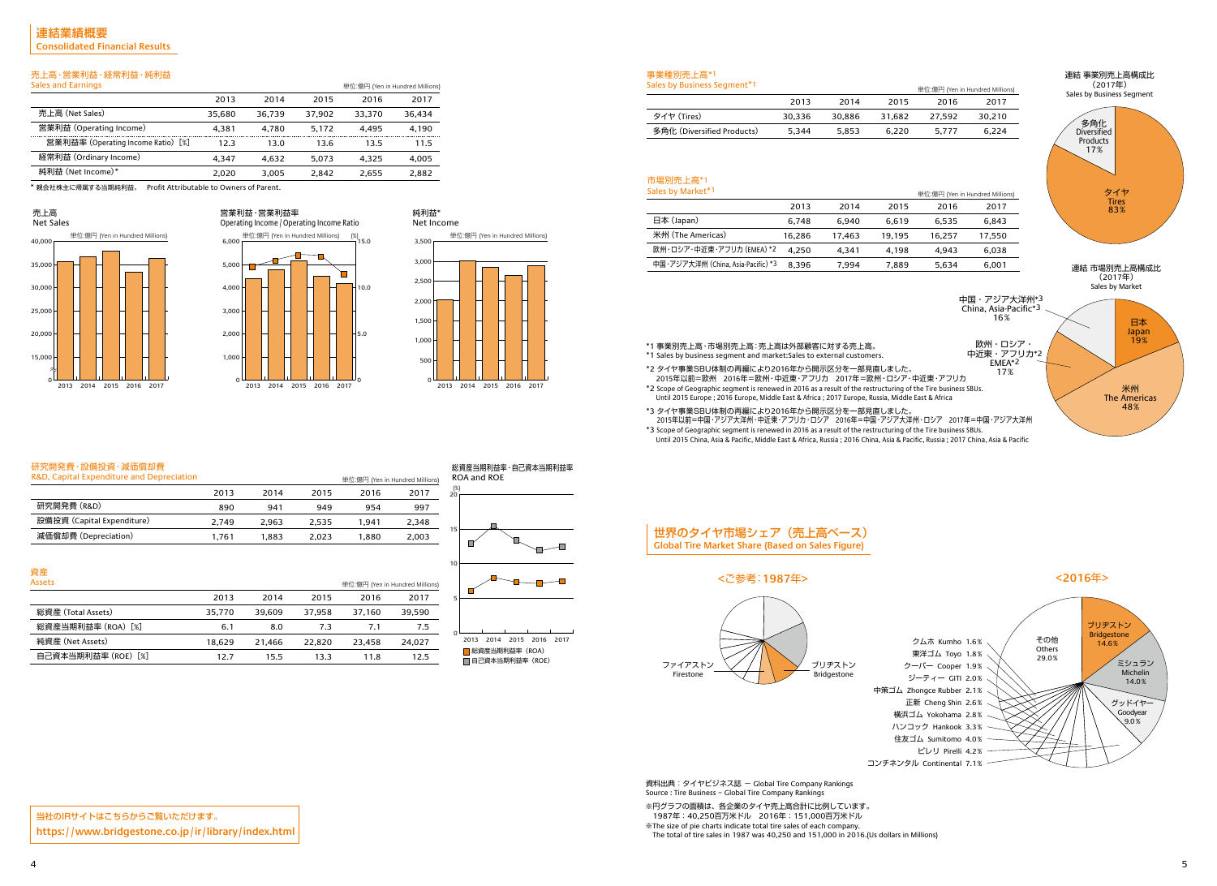

### 売上高・営業利益・経常利益・純利益



| Sales and Earnings                 |        |        |        | 単位:億円 (Yen in Hundred Millions) |        |
|------------------------------------|--------|--------|--------|---------------------------------|--------|
|                                    | 2013   | 2014   | 2015   | 2016                            | 2017   |
| 売上高 (Net Sales)                    | 35.680 | 36.739 | 37.902 | 33,370                          | 36.434 |
| 営業利益 (Operating Income)            | 4.381  | 4.780  | 5.172  | 4.495                           | 4,190  |
| 営業利益率 (Operating Income Ratio) [%] | 12.3   | 13.0   | 13.6   | 13.5                            | 11.5   |
| 経常利益 (Ordinary Income)             | 4.347  | 4.632  | 5.073  | 4.325                           | 4,005  |
| 純利益 (Net Income)*                  | 2.020  | 3.005  | 2.842  | 2.655                           | 2,882  |

資産 Assets

> 総資産(Total Assets) 総資産当期利益率(ROA)[%]

純資産(Net Assets)

自己資本当期利益率(ROE)[%]

2013 35,770 6.1 18,629 12.7

2014 39,609 8.0 21,466 15.5





#### 研究開発費・設備投資・減価償却費

| R&D, Capital Expenditure and Depreciation |       |       |       | 単位:億円 (Yen in Hundred Millio |       |
|-------------------------------------------|-------|-------|-------|------------------------------|-------|
|                                           | 2013  | 2014  | 2015  | 2016                         | 2017  |
| 研究開発費 (R&D)                               | 890   | 941   | 949   | 954                          | 997   |
| 設備投資 (Capital Expenditure)                | 2.749 | 2.963 | 2.535 | 1.941                        | 2.348 |
| 減価償却費 (Depreciation)                      | 1.761 | 1.883 | 2.023 | 1.880                        | 2,003 |
|                                           |       |       |       |                              |       |



2015 37,958 7.3 22,820 13.3

2016 37,160 7.1 23,458 11.8



2017 39,590 7.5 24,027 12.5

 $\mathcal{L}$ 

#### 事業種別売上高\*1  $S<sub>0</sub>$ s by Business Segment<sup>\*</sup>

(%)



#### 市場別売上高\*1  $S$ ales by Market $^*$ 1

0 ■総資産当期利益率 (ROA) ■ 自己資本当期利益率 (ROE) 2013 2014 2015 2016 2017

| <b>SAILS DY DUSTILESS SECTION 1</b> |        |        |        | 単位:億円 |
|-------------------------------------|--------|--------|--------|-------|
|                                     | 2013   | 2014   | 2015   | 20    |
| タイヤ (Tires)                         | 30.336 | 30.886 | 31.682 | 27.5  |
| 多角化 (Diversified Products)          | 5.344  | 5.853  | 6.220  | 5.7   |
|                                     |        |        |        |       |

| <b>SAILS DY MAINEL</b>             |        |        |        | 単位:億円 |
|------------------------------------|--------|--------|--------|-------|
|                                    | 2013   | 2014   | 2015   | 20    |
| 日本 (Japan)                         | 6.748  | 6.940  | 6,619  | 6,5   |
| 米州 (The Americas)                  | 16,286 | 17,463 | 19,195 | 16,2  |
| 欧州・ロシア・中近東・アフリカ (EMEA) *2          | 4.250  | 4.341  | 4.198  | 4,9   |
| 中国・アジア大洋州 (China, Asia-Pacific) *3 | 8,396  | 7,994  | 7,889  | 5,6   |
|                                    |        |        |        |       |

資料出典: タイヤビジネス誌 - Global Tire Company Rankings Source : Tire Business − Global Tire Company Rankings

\*1 事業別売上高・市場別売上高:売上高は外部顧客に対する売上高。



- \*1 Sales by business segment and market:Sales to external customers.
- \*2 タイヤ事業SBU体制の再編により2016年から開示区分を一部見直しました。
- 2015年以前=欧州 2016年=欧州・中近東・アフリカ 2017年=欧州・ロシア・中近東・アフリカ \*2 Scope of Geographic segment is renewed in 2016 as a result of the restructuring of the Tire business SBUs. Until 2015 Europe ; 2016 Europe, Middle East & Africa ; 2017 Europe, Russia, Middle East & Africa
- \*3 タイヤ事業SBU体制の再編により2016年から開示区分を一部見直しました。
- 2015年以前=中国・アジア大洋州・中近東・アフリカ・ロシア 2016年=中国・アジア大洋州・ロシア 2017年=中国・アジア大洋州
- \*3 Scope of Geographic segment is renewed in 2016 as a result of the restructuring of the Tire business SBUs. Until 2015 China, Asia & Pacific, Middle East & Africa, Russia ; 2016 China, Asia & Pacific, Russia ; 2017 China, Asia & Pacific

\* 親会社株主に帰属する当期純利益。 Profit Attributable to Owners of Parent.

#### 売上高

#### 純利益\* Net Income

当社のIRサイトはこちらからご覧いただけます。 **https://www.bridgestone.co.jp/ir/library/index.html**



### 世界のタイヤ市場シェア(売上高ベース) **Global Tire Market Share (Based on Sales Figure)**

クーパー Cooper 1.9% ジーティー GITI 2.0% 中策ゴム Zhongce Rubber 2.1% 正新 Cheng Shin 2.6% 横浜ゴム Yokohama 2.8% ハンコック Hankook 3.3% 住友ゴム Sumitomo 4.0% コンチネンタル Continental 7.1%



#### **<**ご参考:**1987**年**> <2016**年**>**

※円グラフの面積は、各企業のタイヤ売上高合計に比例しています。 1987年:40,250百万米ドル 2016年:151,000百万米ドル ※The size of pie charts indicate total tire sales of each company. The total of tire sales in 1987 was 40,250 and 151,000 in 2016.(Us dollars in Millions)

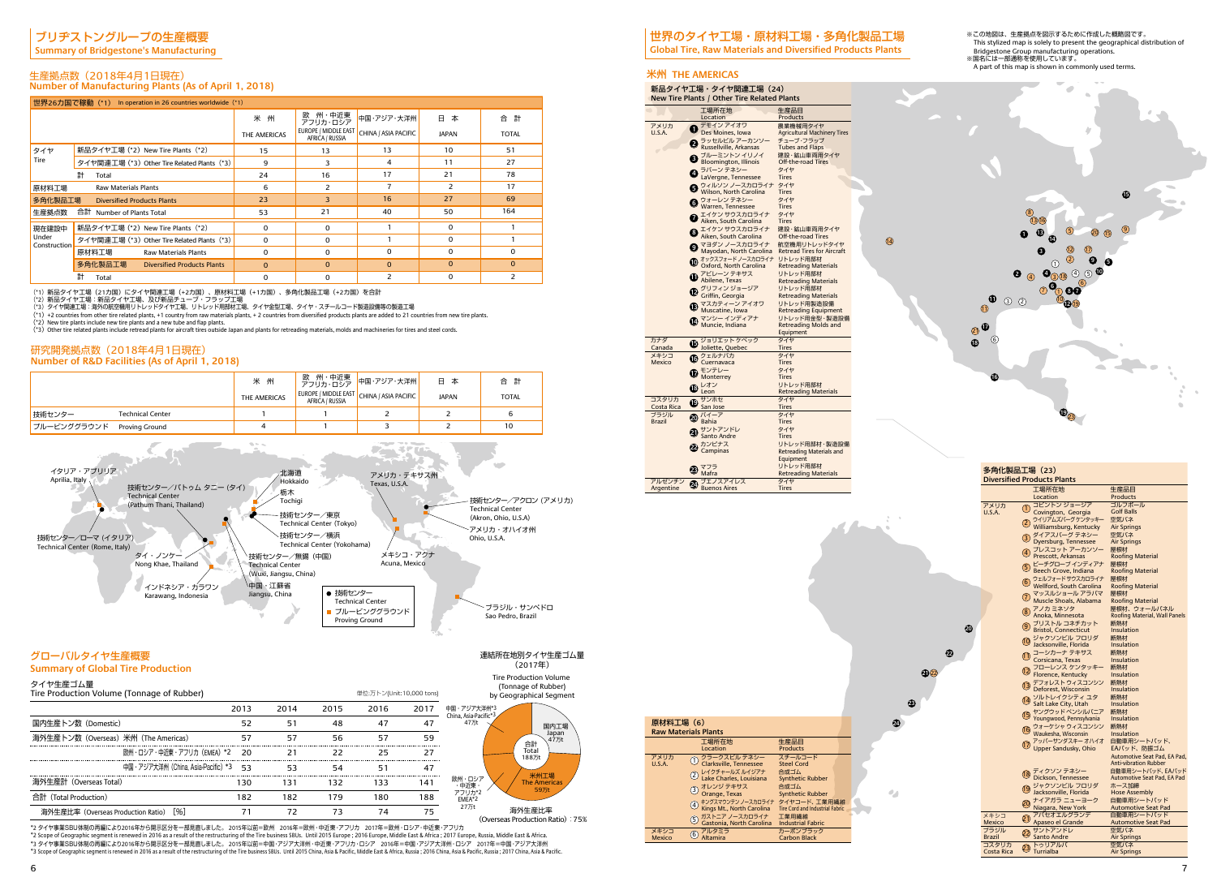

**24**

 $\sigma_{\rm eff}$ 

**23**

**22**

**20**

**21** 22

14

6 7

(\*3)Other tire related plants include retread plants for aircraft tires outside Japan and plants for retreading materials, molds and machineries for tires and steel cords.

### ブリヂストングループの生産概要

**Summary of Bridgestone's Manufacturing**

#### 生産拠点数(2018年4月1日現在) **Number of Manufacturing Plants (As of April 1, 2018)**

#### 研究開発拠点数(2018年4月1日現在) **Number of R&D Facilities (As of April 1, 2018)**

|                       | 世界26カ国で稼動(*1) In operation in 26 countries worldwide (*1) |              |                                         |                      |              |              |
|-----------------------|-----------------------------------------------------------|--------------|-----------------------------------------|----------------------|--------------|--------------|
|                       |                                                           | 米州           | 州・中近東<br>欧<br>アフリカ・ロシア                  | 中国・アジア・大洋州           | 日<br>本       | 合 計          |
|                       |                                                           | THE AMERICAS | EUROPE / MIDDLE EAST<br>AFRICA / RUSSIA | CHINA / ASIA PACIFIC | <b>JAPAN</b> | <b>TOTAL</b> |
| タイヤ                   | 新品タイヤ工場 (*2) New Tire Plants (*2)                         | 15           | 13                                      | 13                   | 10           | 51           |
| Tire                  | タイヤ関連工場 (*3) Other Tire Related Plants (*3)               | 9            | 3                                       | 4                    | 11           | 27           |
|                       | 計<br>Total                                                | 24           | 16                                      | 17                   | 21           | 78           |
| 原材料工場                 | <b>Raw Materials Plants</b>                               | 6            | $\mathcal{P}$                           |                      | 2            | 17           |
| 多角化製品工場               | <b>Diversified Products Plants</b>                        | 23           | 3                                       | 16                   | 27           | 69           |
| 生産拠点数                 | 合計 Number of Plants Total                                 | 53           | 21                                      | 40                   | 50           | 164          |
| 現在建設中                 | 新品タイヤ工場 (*2) New Tire Plants (*2)                         | $\Omega$     | 0                                       |                      | $\Omega$     |              |
| Under<br>Construction | タイヤ関連工場 (*3) Other Tire Related Plants (*3)               | 0            | 0                                       |                      | 0            |              |
|                       | 原材料工場<br><b>Raw Materials Plants</b>                      | $\Omega$     | 0                                       | $\Omega$             | 0            | 0            |
|                       | 多角化製品工場<br><b>Diversified Products Plants</b>             | $\mathbf{0}$ | $\Omega$                                | $\Omega$             | $\Omega$     | $\Omega$     |
|                       | 計<br>Total                                                | 0            | 0                                       | 2                    | 0            | 2            |

(\*1)新品タイヤ工場(21カ国)にタイヤ関連工場(+2カ国)、原材料工場(+1カ国)、多角化製品工場(+2カ国)を合計<br>(\*2)新品タイヤ工場:海沿のタイヤ工場、及び新品チューブ・フラップ工場<br>(\*3)タイヤ関連工場:海外の航空機用リトレッドタイヤ工場、リトレッド用部材工場、タイヤ金型工場、タイヤ・スチールコード製造設備等の製造工場

(\*1) +2 countries from other tire related plants, +1 country from raw materials plants, + 2 countries from diversified products plants are added to 21 countries from new tire plants.<br>(\*2) New tire plants include new tire p

|              |                         | 米 州<br>THE AMERICAS | <b>AFRICA / RUSSIA</b> | 欧 州・中近東 <mark>中国・アジア・大洋州</mark><br>アフリカ・ロシア<br>EUROPE / MIDDLE EAST CHINA / ASIA PACIFIC | 日本<br><b>JAPAN</b> | 合 計<br><b>TOTAL</b> |
|--------------|-------------------------|---------------------|------------------------|------------------------------------------------------------------------------------------|--------------------|---------------------|
| 技術センター       | <b>Technical Center</b> |                     |                        |                                                                                          |                    | 6                   |
| ■プルービンググラウンド | Proving Ground          |                     |                        |                                                                                          |                    | 10                  |

#### グローバルタイヤ生産概要

### **Summary of Global Tire Production**

#### 米州 **THE AMERICAS**

連結所在地別タイヤ生産ゴム量  $(2017年)$ 

| 新品タイヤ工場・タイヤ関連工場(24)<br>New Tire Plants / Other Tire Related Plants |                                                  |                                           |  |  |
|--------------------------------------------------------------------|--------------------------------------------------|-------------------------------------------|--|--|
|                                                                    | 工場所在地                                            | 生産品目                                      |  |  |
|                                                                    | Location                                         | Products                                  |  |  |
| アメリカ                                                               | デモイン アイオワ                                        | 農業機械用タイヤ                                  |  |  |
| U.S.A.                                                             | Des Moines, Iowa                                 | <b>Agricultural Machinery Tires</b>       |  |  |
|                                                                    | ラッセルビル アーカンソー<br>Ø                               | チューブ・フラップ                                 |  |  |
|                                                                    | Russellville, Arkansas                           | <b>Tubes and Flaps</b>                    |  |  |
|                                                                    | ブルーミントンイリノイ<br>€                                 | 建設・鉱山車両用タイヤ                               |  |  |
|                                                                    | <b>Bloomington, Illinois</b>                     | Off-the-road Tires                        |  |  |
|                                                                    | ラバーン テネシー                                        | タイヤ                                       |  |  |
|                                                                    | Ø<br>LaVergne, Tennessee                         | Tires                                     |  |  |
|                                                                    | ウィルソン ノースカロライナ                                   | タイヤ                                       |  |  |
|                                                                    | Wilson, North Carolina                           | <b>Tires</b>                              |  |  |
|                                                                    |                                                  | タイヤ                                       |  |  |
|                                                                    | <b>●</b> ウォーレン テネシー<br>Warren, Tennessee         | <b>Tires</b>                              |  |  |
|                                                                    | エイケン サウスカロライナ                                    | タイヤ                                       |  |  |
|                                                                    | Z<br>Aiken, South Carolina                       | <b>Tires</b>                              |  |  |
|                                                                    |                                                  | 建設・鉱山車両用タイヤ                               |  |  |
|                                                                    | ❶ エイケン サウスカロライナ<br>❸ Aiken, South Carolina       | Off-the-road Tires                        |  |  |
|                                                                    | マヨダン ノースカロライナ                                    | 航空機用リトレッドタイヤ                              |  |  |
|                                                                    | $\boldsymbol{\Theta}$<br>Mayodan, North Carolina | <b>Retread Tires for Aircraft</b>         |  |  |
|                                                                    |                                                  | リトレッド用部材                                  |  |  |
|                                                                    |                                                  | <b>Retreading Materials</b>               |  |  |
|                                                                    | <b>1 アビレーン テキサス</b>                              | リトレッド用部材                                  |  |  |
|                                                                    | Abilene, Texas                                   | <b>Retreading Materials</b>               |  |  |
|                                                                    |                                                  | リトレッド用部材                                  |  |  |
|                                                                    | クリフィンジョージア<br>Griffin, Georgia                   | <b>Retreading Materials</b>               |  |  |
|                                                                    |                                                  |                                           |  |  |
|                                                                    | <b>B</b> マスカティーン アイオワ<br>Muscatine, Iowa         | リトレッド用製造設備<br><b>Retreading Equipment</b> |  |  |
|                                                                    |                                                  |                                           |  |  |
|                                                                    | マンシー インディアナ<br>Ø                                 | リトレッド用金型・製造設備                             |  |  |
|                                                                    | Muncie, Indiana                                  | <b>Retreading Molds and</b>               |  |  |
|                                                                    |                                                  | Equipment                                 |  |  |
| カナダ                                                                | ジョリエット ケベック<br>⊕                                 | タイヤ                                       |  |  |
| Canada                                                             | Joliette, Quebec                                 | <b>Tires</b>                              |  |  |
| メキシコ<br>Mexico                                                     | <b>C</b> クェルナバカ                                  | タイヤ                                       |  |  |
|                                                                    |                                                  | Tires                                     |  |  |
|                                                                    | モンテレー<br>17                                      | タイヤ<br>Tires                              |  |  |
|                                                                    | Monterrey                                        |                                           |  |  |
|                                                                    | レオン<br>⊕                                         | リトレッド用部材                                  |  |  |
|                                                                    | Leon                                             | <b>Retreading Materials</b>               |  |  |
| コスタリカ                                                              | <b>t</b> サンホセ                                    | タイヤ                                       |  |  |
| Costa Rica                                                         |                                                  | <b>Tires</b>                              |  |  |
| ブラジル<br><b>Brazil</b>                                              | $\Phi$ $(1-\overline{r})$                        | タイヤ                                       |  |  |
|                                                                    | Bahia                                            | <b>Tires</b>                              |  |  |
|                                                                    | サントアンドレ<br>Ø<br>Santo Andre                      | タイヤ                                       |  |  |
|                                                                    |                                                  | Tires                                     |  |  |
|                                                                    | カンピナス<br>22                                      | リトレッド用部材・製造設備                             |  |  |
|                                                                    | Campinas                                         | <b>Retreading Materials and</b>           |  |  |
|                                                                    |                                                  | Equipment                                 |  |  |
|                                                                    | マフラ<br>23)                                       | リトレッド用部材                                  |  |  |
|                                                                    | Mafra                                            | <b>Retreading Materials</b>               |  |  |
| アルゼンチン                                                             | ブエノスアイレス<br>☎                                    | タイヤ                                       |  |  |
| Argentine                                                          | <b>Buenos Aires</b>                              | <b>Tires</b>                              |  |  |

\*3 タイヤ事業SBU体制の再編により2016年から開示区分を一部見直しました。 2015年以前=中国・アジア大洋州・中近東・アフリカ・ロシア 2016年=中国・アジア大洋州・ロシア 2017年=中国・アジア大洋州 \*3 Scope of Geographic segment is renewed in 2016 as a result of the restructuring of the Tire business SBUs. Until 2015 China, Asia & Pacific, Middle East & Africa, Russia; 2016 China, Asia & Pacific, Russia; 2017 China,



| 原材料工場 (6)                   |                                                     |                                        |  |
|-----------------------------|-----------------------------------------------------|----------------------------------------|--|
| <b>Raw Materials Plants</b> |                                                     |                                        |  |
|                             | 工場所在地                                               | 生産品目                                   |  |
|                             | Location                                            | <b>Products</b>                        |  |
| アメリカ                        | クラークスビル テネシー<br>N)                                  | スチールコード                                |  |
| U.S.A.                      | Clarksville, Tennessee                              | <b>Steel Cord</b>                      |  |
|                             | レイクチャールズ ルイジアナ<br>$\left( 2\right)$                 | 合成ゴム                                   |  |
|                             | Lake Charles, Louisiana                             | <b>Synthetic Rubber</b>                |  |
|                             | オレンジ テキサス<br>(3)                                    | 合成ゴム                                   |  |
|                             | Orange, Texas                                       | <b>Synthetic Rubber</b>                |  |
|                             | キングスマウンテンノースカロライナ タイヤコード、工業用繊維<br>$\left( 4\right)$ |                                        |  |
|                             | Kings Mt., North Carolina                           | <b>Tire Cord and Industrial Fabric</b> |  |
|                             | ガストニア ノースカロライナ<br>(5)                               | 工業用繊維                                  |  |
|                             | Gastonia, North Carolina Industrial Fabric          |                                        |  |
| メキシコ                        | アルタミラ<br>6                                          | カーボンブラック                               |  |
| <b>Mexico</b>               | Altamira                                            | <b>Carbon Black</b>                    |  |

| <b>SUITININGLY OF GIODAL THE FLOUDCLION</b>            |                                       |      |      |      |                          |      |                                      |                                                                          |
|--------------------------------------------------------|---------------------------------------|------|------|------|--------------------------|------|--------------------------------------|--------------------------------------------------------------------------|
| タイヤ生産ゴム量<br>Tire Production Volume (Tonnage of Rubber) |                                       |      |      |      | 単位:万トン(Unit:10,000 tons) |      |                                      | Tire Production Volume<br>(Tonnage of Rubber)<br>by Geographical Segment |
|                                                        |                                       | 2013 | 2014 | 2015 | 2016                     | 2017 | 中国・アジア大洋州*3<br>China, Asia-Pacific*3 |                                                                          |
| 国内生産トン数 (Domestic)                                     |                                       | 52   | 51   | 48   | 47                       | 47   | 47万t                                 | 国内工場                                                                     |
| 海外生産トン数(Overseas)米州(The Americas)                      |                                       | 57   | 57   | 56   | 57                       | 59   |                                      | Japan<br>47万t<br>合計                                                      |
|                                                        | 欧州・ロシア・中沂東・アフリカ (EMEA) *2 20          |      | 21   |      | 25                       | 27   |                                      | Total<br>188万t                                                           |
|                                                        | 中国・アジア大洋州 (China, Asia-Pacific) *3 53 |      | 53   | 54   | 51                       | 47   |                                      |                                                                          |
| 海外生産計(Overseas Total)                                  |                                       | 130  | 131  | 132  | 133                      | 141  | 欧州・ロシア<br>・中近東・                      | 米州工場<br><b>The Americas</b>                                              |
| 合計 (Total Production)                                  |                                       | 182  | 182  | 179  | 180                      | 188  | アフリカ*2<br>EMEA*2                     | 59万t                                                                     |
| 海外生産比率(Overseas Production Ratio)                      | [%]                                   |      | 72   | 73   | 74                       | 75   | 27万t                                 |                                                                          |

## 世界のタイヤ工場・原材料工場・多角化製品工場

**Global Tire, Raw Materials and Diversified Products Plants**

| 多角化製品工場(23)            |                                                 |                                |  |  |  |  |  |  |
|------------------------|-------------------------------------------------|--------------------------------|--|--|--|--|--|--|
|                        | <b>Diversified Products Plants</b>              |                                |  |  |  |  |  |  |
|                        | 工場所在地                                           | 生産品目                           |  |  |  |  |  |  |
|                        | Location                                        | Products                       |  |  |  |  |  |  |
| アメリカ                   | コビントン ジョージア                                     | ゴルフボール                         |  |  |  |  |  |  |
| U.S.A.                 | O Covington, Georgia                            | <b>Golf Balls</b>              |  |  |  |  |  |  |
|                        | ウイリアムズバーグ ケンタッキー<br>Williamsburg, Kentucky      | 空気バネ<br><b>Air Springs</b>     |  |  |  |  |  |  |
|                        |                                                 | 空気バネ                           |  |  |  |  |  |  |
|                        | 3 ダイアスバーグ テネシー<br>3 Dyersburg, Tennessee        | <b>Air Springs</b>             |  |  |  |  |  |  |
|                        | 4 プレスコット アーカンソー                                 | 屋根材                            |  |  |  |  |  |  |
|                        |                                                 | <b>Roofing Material</b>        |  |  |  |  |  |  |
|                        | ビーチグローブインディアナ<br>(5                             | 屋根材                            |  |  |  |  |  |  |
|                        | Beech Grove, Indiana                            | <b>Roofing Material</b>        |  |  |  |  |  |  |
|                        | 6 ウェルフォードサウスカロライナ<br>6 Wellford, South Carolina | 屋根材<br><b>Roofing Material</b> |  |  |  |  |  |  |
|                        | マッスルショール アラバマ                                   | 屋根材                            |  |  |  |  |  |  |
|                        | 7)<br>Muscle Shoals, Alabama                    | <b>Roofing Material</b>        |  |  |  |  |  |  |
|                        |                                                 | 屋根材、ウォールバネル                    |  |  |  |  |  |  |
|                        | 8 アノカ ミネソタ<br>8 Anoka, Minnesota                | Roofing Material, Wall Panels  |  |  |  |  |  |  |
|                        | ⑨ ブリストル コネチカット<br>■ Bristol, Connecticut        | 断熱材                            |  |  |  |  |  |  |
|                        |                                                 | Insulation                     |  |  |  |  |  |  |
|                        | 10 ジャクソンビル フロリダ<br>Jacksonville, Florida        | 断熱材<br>Insulation              |  |  |  |  |  |  |
|                        | 1 コーシカーナ テキサス                                   | 断熱材                            |  |  |  |  |  |  |
|                        | Corsicana, Texas                                | Insulation                     |  |  |  |  |  |  |
|                        |                                                 | 断熱材                            |  |  |  |  |  |  |
|                        | 12 フローレンス ケンタッキー<br>P Florence, Kentucky        | Insulation                     |  |  |  |  |  |  |
|                        | 3 デフォレスト ウィスコンシン<br>13 Deforest, Wisconsin      | 断熱材                            |  |  |  |  |  |  |
|                        |                                                 | Insulation                     |  |  |  |  |  |  |
|                        | 14 ソルトレイクシティ ユタ<br>③ Salt Lake City, Utah       | 断熱材<br>Insulation              |  |  |  |  |  |  |
|                        | ヤングウッド ペンシルバニア                                  | 断熱材                            |  |  |  |  |  |  |
|                        | Youngwood, Pennsylvania                         | Insulation                     |  |  |  |  |  |  |
|                        | 16 ウォーケシャ ウィスコンシン<br>Waukesha, Wisconsin        | 断熱材                            |  |  |  |  |  |  |
|                        |                                                 | Insulation                     |  |  |  |  |  |  |
|                        | アッパーサンダスキー オハイオ<br>17)<br>Upper Sandusky, Ohio  | 自動車用シートバッド、<br>EAパッド、防振ゴム      |  |  |  |  |  |  |
|                        |                                                 | Automotive Seat Pad, EA Pad,   |  |  |  |  |  |  |
|                        |                                                 | <b>Anti-vibration Rubber</b>   |  |  |  |  |  |  |
|                        | ディクソン テネシー                                      | 自動車用シートパッド、EAパッド               |  |  |  |  |  |  |
|                        | Dickson, Tennessee                              | Automotive Seat Pad, EA Pad    |  |  |  |  |  |  |
|                        | ジャクソンビル フロリダ<br>19<br>Jacksonville, Florida     | ホース加締<br><b>Hose Assembly</b>  |  |  |  |  |  |  |
|                        | 20 ナイアガラ ニューヨーク                                 | 自動車用シートパッド                     |  |  |  |  |  |  |
|                        | Niagara, New York                               | <b>Automotive Seat Pad</b>     |  |  |  |  |  |  |
| メキシコ                   | 7パセオエルグランデ<br>4) Apaseo el Grande               | 自動車用シートパッド                     |  |  |  |  |  |  |
| <b>Mexico</b>          |                                                 | <b>Automotive Seat Pad</b>     |  |  |  |  |  |  |
| ブラジル                   | サントアンドレ<br>22 Santo Andre                       | 空気バネ                           |  |  |  |  |  |  |
| <b>Brazil</b><br>コスタリカ | トゥリアルバ                                          | <b>Air Springs</b><br>空気バネ     |  |  |  |  |  |  |
| Costa Rica             | ೞ<br>Turrialba                                  | <b>Air Springs</b>             |  |  |  |  |  |  |
|                        |                                                 |                                |  |  |  |  |  |  |

※この地図は、生産拠点を図示するために作成した概略図です。 This stylized map is solely to present the geographical distribution of Bridgestone Group manufacturing operations. ※国名には一部通称を使用しています。 A part of this map is shown in commonly used terms.

(Overseas Production Ratio):75% \*2 タイヤ事業SBU体制の再編により2016年から開示区分を一部見直しました。 2015年以前=欧州 2016年=欧州・中近東・アフリカ 2017年=欧州・ロシア・中近東・アフリカ \*2 Scope of Geographic segment is renewed in 2016 as a result of the restructuring of the Tire business SBUs. Until 2015 Europe ; 2016 Europe, Middle East & Africa ; 2017 Europe, Russia, Middle East & Africa.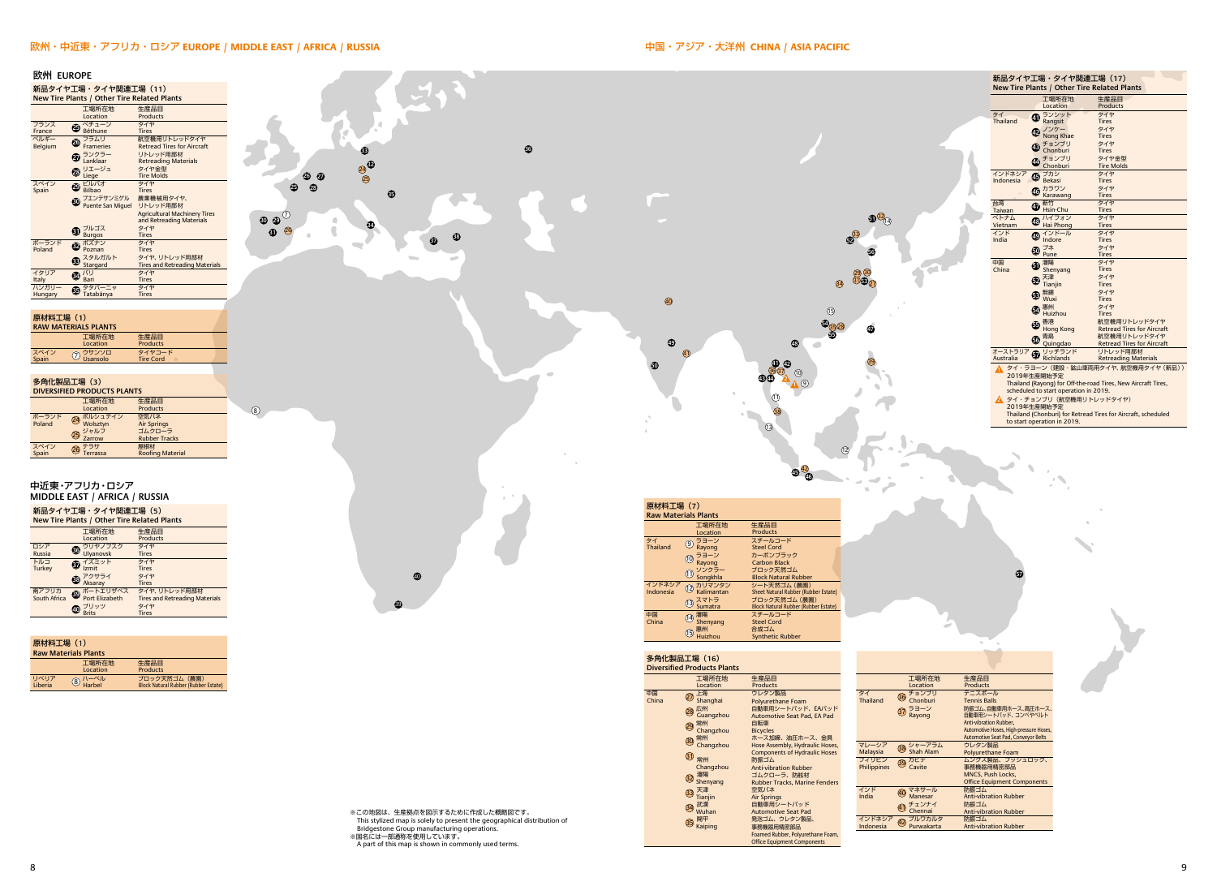**57**



#### 欧州・中近東・アフリカ・ロシア **EUROPE / MIDDLE EAST / AFRICA / RUSSIA**



| 原材料工場 (1)<br><b>Raw Materials Plants</b> |                           |                                                       |  |  |  |
|------------------------------------------|---------------------------|-------------------------------------------------------|--|--|--|
|                                          | 工場所在地<br>Location         | 生産品目<br><b>Products</b>                               |  |  |  |
| リベリア<br>Liberia                          | $\circledS$ /\- $\sim$ /\ | ブロック天然ゴム (農園)<br>Block Natural Rubber (Rubber Estate) |  |  |  |

● Shanghai 27 上海 28 広州<br>Guangzhou ● Changzhou 29 常州 ● Changzhou 30 常州 31 常州

生産品目 **Products** 

Polyurethane Foam 自動車用シートパッド、EAパッド<br>Automotive Seat Pad, EA Pad

中国 ⑦ 上海 ウレタン製品 ①<br>China Shanghai Polyurethane Foam Thailand

15 惠州<br>Huizhou

Automotive Seat Pad 事務機器用精密部品

Malaysia マレーシア **Philippines** 

**Malaysia**<br>フィリピン

**40 マネサール**<br>Manesar ● 41 チェンナイ Chennai

インドネシア (1) プルワカルタ<br>Indonesia (2) Purwakarta

※この地図は、生産拠点を図示するために作成した概略図です。 This stylized map is solely to present the geographical distribution of Bridgestone Group manufacturing operations. ※国名には一部通称を使用しています。 A part of this map is shown in commonly used terms.

8 a gcomhan an t-Iomraid an t-Iomraid an t-Iomraid an t-Iomraid and t-Iomraid and t-Iomraid and t-Iomraid and t-Iomraid and t-Iomraid and t-Iomraid and t-Iomraid and t-Iomraid and t-Iomraid and t-Iomraid and t-Iomraid and

合成ゴム

多角化製品工場(**16**) **Diversified Products Plants**

中国<br>China

ware<br>Synthetic Rubbe

| 新品タイヤ工場・タイヤ関連工場(17)<br>New Tire Plants / Other Tire Related Plants |                                       |                                                               |  |  |  |
|--------------------------------------------------------------------|---------------------------------------|---------------------------------------------------------------|--|--|--|
|                                                                    | 工場所在地                                 | 生産品目                                                          |  |  |  |
|                                                                    | Location                              | Products                                                      |  |  |  |
| タイ                                                                 | ランシット                                 | タイヤ                                                           |  |  |  |
| ⊕<br>Thailand                                                      | Rangsit                               | <b>Tires</b>                                                  |  |  |  |
|                                                                    | 2 リンケー                                | タイヤ                                                           |  |  |  |
|                                                                    | Nong Khae                             | <b>Tires</b>                                                  |  |  |  |
| Œ)                                                                 | チョンブリ                                 | タイヤ                                                           |  |  |  |
|                                                                    | Chonburi                              | <b>Tires</b>                                                  |  |  |  |
|                                                                    | のチョンブリ                                | タイヤ金型                                                         |  |  |  |
|                                                                    | Chonburi                              | <b>Tire Molds</b>                                             |  |  |  |
| インドネシア                                                             | (5) ブカシ                               | タイヤ                                                           |  |  |  |
| Indonesia                                                          | Bekasi                                | <b>Tires</b>                                                  |  |  |  |
|                                                                    | <b>15ワン</b>                           | タイヤ                                                           |  |  |  |
|                                                                    | Karawang                              | <b>Tires</b><br>タイヤ                                           |  |  |  |
| 台湾<br>Taiwan                                                       | 4 新竹<br>Hsin-Chu                      | <b>Tires</b>                                                  |  |  |  |
| ベトナム                                                               | ハイフォン                                 | タイヤ                                                           |  |  |  |
| ⊕<br>Vietnam                                                       | Hai Phong                             | <b>Tires</b>                                                  |  |  |  |
| インド                                                                | インドール                                 | タイヤ                                                           |  |  |  |
| ⊕<br>India                                                         | Indore                                | <b>Tires</b>                                                  |  |  |  |
| ⊕                                                                  | プネ                                    | タイヤ                                                           |  |  |  |
|                                                                    | Pune                                  | <b>Tires</b>                                                  |  |  |  |
| 中国                                                                 | 印 <sup>瀋陽</sup>                       | タイヤ                                                           |  |  |  |
| China                                                              | Shenyang                              | <b>Tires</b>                                                  |  |  |  |
|                                                                    | 田天津                                   | タイヤ                                                           |  |  |  |
|                                                                    | Tianjin                               | <b>Tires</b>                                                  |  |  |  |
| ®                                                                  | 無錫<br>Wuxi                            | タイヤ                                                           |  |  |  |
|                                                                    |                                       | <b>Tires</b>                                                  |  |  |  |
|                                                                    | 3 惠州<br>Huizhou                       | タイヤ<br><b>Tires</b>                                           |  |  |  |
|                                                                    | 香港                                    | 航空機用リトレッドタイヤ                                                  |  |  |  |
| ⊕                                                                  | <b>Hong Kong</b>                      | <b>Retread Tires for Aircraft</b>                             |  |  |  |
|                                                                    |                                       | 航空機用リトレッドタイヤ                                                  |  |  |  |
|                                                                    | 5 青島<br>Quingdao                      | <b>Retread Tires for Aircraft</b>                             |  |  |  |
| オーストラリア                                                            | リッチランド                                | リトレッド用部材                                                      |  |  |  |
| Australia                                                          | Richlands                             | <b>Retreading Materials</b>                                   |  |  |  |
| Λ.                                                                 |                                       | タイ・ラヨーン (建設・鉱山車両用タイヤ、航空機用タイヤ (新品))                            |  |  |  |
| 2019年生産開始予定                                                        |                                       |                                                               |  |  |  |
|                                                                    |                                       | Thailand (Rayong) for Off-the-road Tires, New Aircraft Tires, |  |  |  |
|                                                                    | scheduled to start operation in 2019. |                                                               |  |  |  |
| A                                                                  | タイ・チョンブリ (航空機用リトレッドタイヤ)               |                                                               |  |  |  |
| 2019年生産開始予定                                                        |                                       |                                                               |  |  |  |
|                                                                    |                                       | Thailand (Chonburi) for Retread Tires for Aircraft, scheduled |  |  |  |
| to start operation in 2019.                                        |                                       |                                                               |  |  |  |

工場所在地 Location

32 shenyang 33 <sub>Tianjin</sub> 34 武漢<br>Wuhan **③ <sup>開平</sup> Kaiping** 

Bicycles

自転車

防振ゴム

空気バネ 自動車用シートパッド Air Springs 発泡ゴム、ウレタン製品、 Foamed Rubber, Polyurethane Foam, Office Equipment Components

Hose Assembly, Hydraulic Hoses, Components of Hydraulic Hoses

ゴムクローラ、防舷材 Anti-vibration Rubber

ウレタン製品

ホース加締、油圧ホース、金具

Rubber Tracks, Marine Fenders

Changzhou

工場所在地 Location

| 生産品目                                   |
|----------------------------------------|
| <b>Products</b>                        |
| テニスボール                                 |
| <b>Tennis Balls</b>                    |
| 防振ゴム、自動車用ホース、高圧ホース、                    |
| 自動車用シートバッド、コンベヤベルト                     |
| Anti-vibration Rubber.                 |
| Automotive Hoses, High-pressure Hoses, |
| Automotive Seat Pad, Conveyor Belts    |
| ウレタン製品                                 |
| <b>Polyurethane Foam</b>               |
| ムンクス製品、プッシュロック、                        |
| 事務機器用精密部品                              |
| <b>MNCS, Push Locks,</b>               |
| <b>Office Equipment Components</b>     |
| 防振ゴム                                   |
| <b>Anti-vibration Rubber</b>           |
| 防振ゴム                                   |
| <b>Anti-vibration Rubber</b>           |
| 防振ゴム                                   |
| <b>Anti-vibration Rubber</b>           |

● 37 ラヨーン Rayong

● 38 シャーアラム Shah Alam ● 39 カビテ Cavite

Thailand

タイ

India インド

36 チョンブリ Chonburi